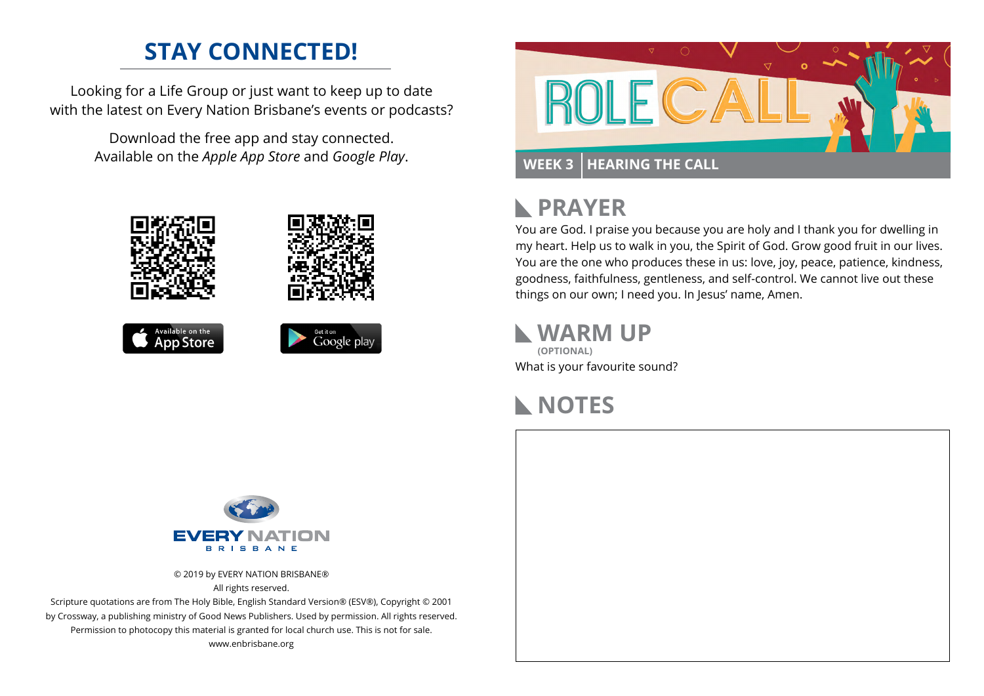## **STAY CONNECTED!**

Looking for a Life Group or just want to keep up to date with the latest on Every Nation Brisbane's events or podcasts?

> Download the free app and stay connected. Available on the *Apple App Store* and *Google Play*.











### **PRAYER**  $\mathbb{R}$

You are God. I praise you because you are holy and I thank you for dwelling in my heart. Help us to walk in you, the Spirit of God. Grow good fruit in our lives. You are the one who produces these in us: love, joy, peace, patience, kindness, goodness, faithfulness, gentleness, and self-control. We cannot live out these things on our own; I need you. In Jesus' name, Amen.

**WARM UP** What is your favourite sound? **(OPTIONAL)**

# **NOTES**



© 2019 by EVERY NATION BRISBANE® All rights reserved.

Scripture quotations are from The Holy Bible, English Standard Version® (ESV®), Copyright © 2001 by Crossway, a publishing ministry of Good News Publishers. Used by permission. All rights reserved. Permission to photocopy this material is granted for local church use. This is not for sale. www.enbrisbane.org